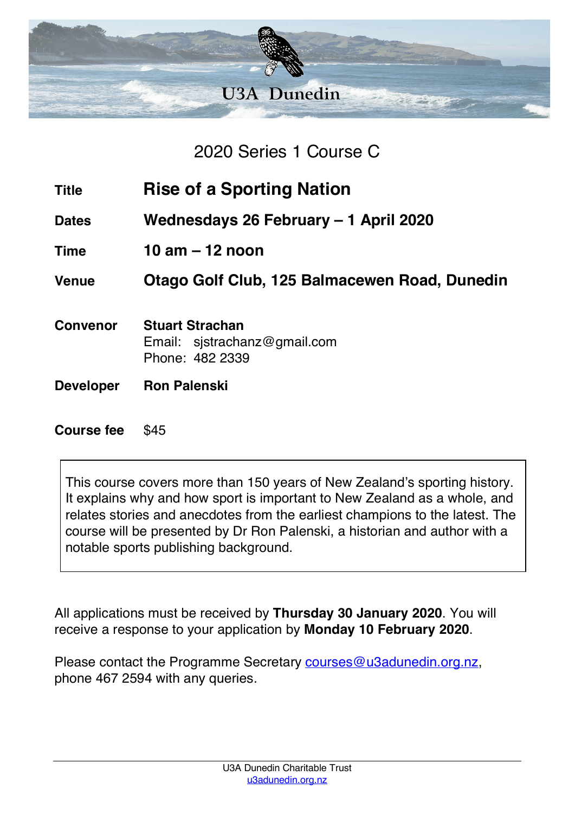

2020 Series 1 Course C

- **Title Rise of a Sporting Nation**
- **Dates Wednesdays 26 February – 1 April 2020**
- **Time 10 am – 12 noon**

**Venue Otago Golf Club, 125 Balmacewen Road, Dunedin**

- **Convenor Stuart Strachan** Email: sjstrachanz@gmail.com Phone: 482 2339
- **Developer Ron Palenski**

## **Course fee** \$45

This course covers more than 150 years of New Zealand's sporting history. It explains why and how sport is important to New Zealand as a whole, and relates stories and anecdotes from the earliest champions to the latest. The course will be presented by Dr Ron Palenski, a historian and author with a notable sports publishing background.

All applications must be received by **Thursday 30 January 2020**. You will receive a response to your application by **Monday 10 February 2020**.

Please contact the Programme Secretary courses@u3adunedin.org.nz, phone 467 2594 with any queries.